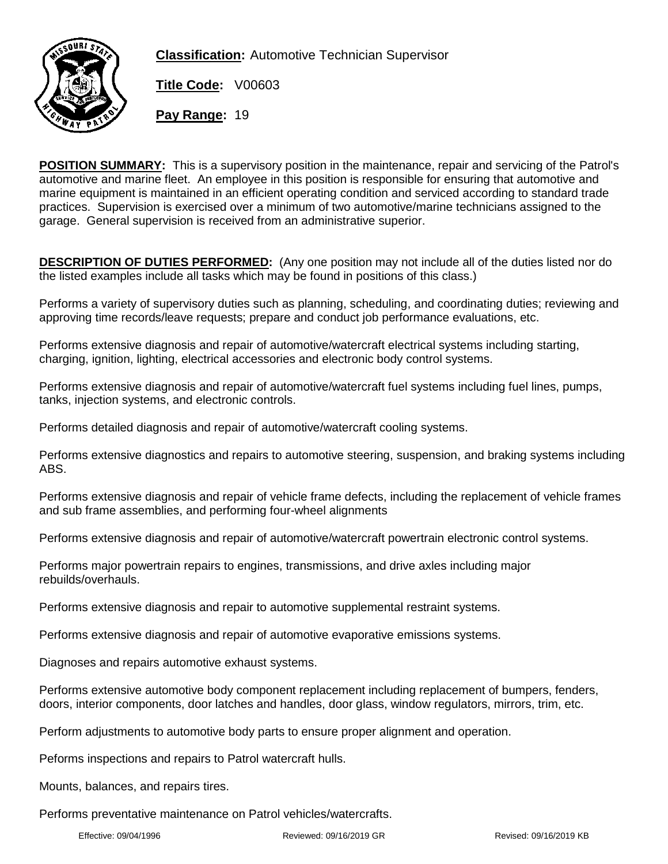

**Classification:** Automotive Technician Supervisor

**Title Code:** V00603

**Pay Range:** 19

**POSITION SUMMARY:** This is a supervisory position in the maintenance, repair and servicing of the Patrol's automotive and marine fleet. An employee in this position is responsible for ensuring that automotive and marine equipment is maintained in an efficient operating condition and serviced according to standard trade practices. Supervision is exercised over a minimum of two automotive/marine technicians assigned to the garage. General supervision is received from an administrative superior.

**DESCRIPTION OF DUTIES PERFORMED:** (Any one position may not include all of the duties listed nor do the listed examples include all tasks which may be found in positions of this class.)

Performs a variety of supervisory duties such as planning, scheduling, and coordinating duties; reviewing and approving time records/leave requests; prepare and conduct job performance evaluations, etc.

Performs extensive diagnosis and repair of automotive/watercraft electrical systems including starting, charging, ignition, lighting, electrical accessories and electronic body control systems.

Performs extensive diagnosis and repair of automotive/watercraft fuel systems including fuel lines, pumps, tanks, injection systems, and electronic controls.

Performs detailed diagnosis and repair of automotive/watercraft cooling systems.

Performs extensive diagnostics and repairs to automotive steering, suspension, and braking systems including ABS.

Performs extensive diagnosis and repair of vehicle frame defects, including the replacement of vehicle frames and sub frame assemblies, and performing four-wheel alignments

Performs extensive diagnosis and repair of automotive/watercraft powertrain electronic control systems.

Performs major powertrain repairs to engines, transmissions, and drive axles including major rebuilds/overhauls.

Performs extensive diagnosis and repair to automotive supplemental restraint systems.

Performs extensive diagnosis and repair of automotive evaporative emissions systems.

Diagnoses and repairs automotive exhaust systems.

Performs extensive automotive body component replacement including replacement of bumpers, fenders, doors, interior components, door latches and handles, door glass, window regulators, mirrors, trim, etc.

Perform adjustments to automotive body parts to ensure proper alignment and operation.

Peforms inspections and repairs to Patrol watercraft hulls.

Mounts, balances, and repairs tires.

Performs preventative maintenance on Patrol vehicles/watercrafts.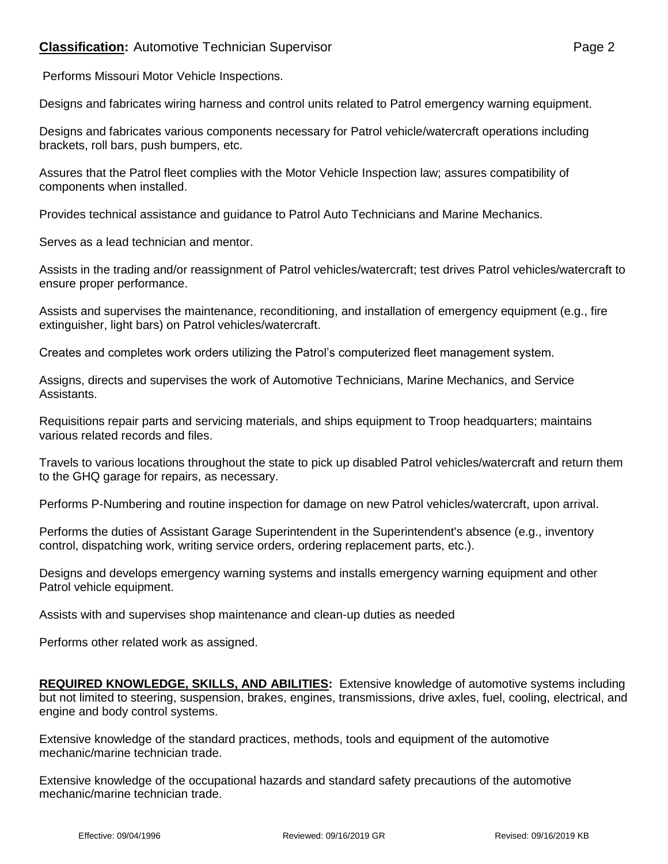## **Classification:** Automotive Technician Supervisor **Page 2** Page 2

Designs and fabricates wiring harness and control units related to Patrol emergency warning equipment.

Designs and fabricates various components necessary for Patrol vehicle/watercraft operations including brackets, roll bars, push bumpers, etc.

Assures that the Patrol fleet complies with the Motor Vehicle Inspection law; assures compatibility of components when installed.

Provides technical assistance and guidance to Patrol Auto Technicians and Marine Mechanics.

Serves as a lead technician and mentor.

Assists in the trading and/or reassignment of Patrol vehicles/watercraft; test drives Patrol vehicles/watercraft to ensure proper performance.

Assists and supervises the maintenance, reconditioning, and installation of emergency equipment (e.g., fire extinguisher, light bars) on Patrol vehicles/watercraft.

Creates and completes work orders utilizing the Patrol's computerized fleet management system.

Assigns, directs and supervises the work of Automotive Technicians, Marine Mechanics, and Service Assistants.

Requisitions repair parts and servicing materials, and ships equipment to Troop headquarters; maintains various related records and files.

Travels to various locations throughout the state to pick up disabled Patrol vehicles/watercraft and return them to the GHQ garage for repairs, as necessary.

Performs P-Numbering and routine inspection for damage on new Patrol vehicles/watercraft, upon arrival.

Performs the duties of Assistant Garage Superintendent in the Superintendent's absence (e.g., inventory control, dispatching work, writing service orders, ordering replacement parts, etc.).

Designs and develops emergency warning systems and installs emergency warning equipment and other Patrol vehicle equipment.

Assists with and supervises shop maintenance and clean-up duties as needed

Performs other related work as assigned.

**REQUIRED KNOWLEDGE, SKILLS, AND ABILITIES:** Extensive knowledge of automotive systems including but not limited to steering, suspension, brakes, engines, transmissions, drive axles, fuel, cooling, electrical, and engine and body control systems.

Extensive knowledge of the standard practices, methods, tools and equipment of the automotive mechanic/marine technician trade.

Extensive knowledge of the occupational hazards and standard safety precautions of the automotive mechanic/marine technician trade.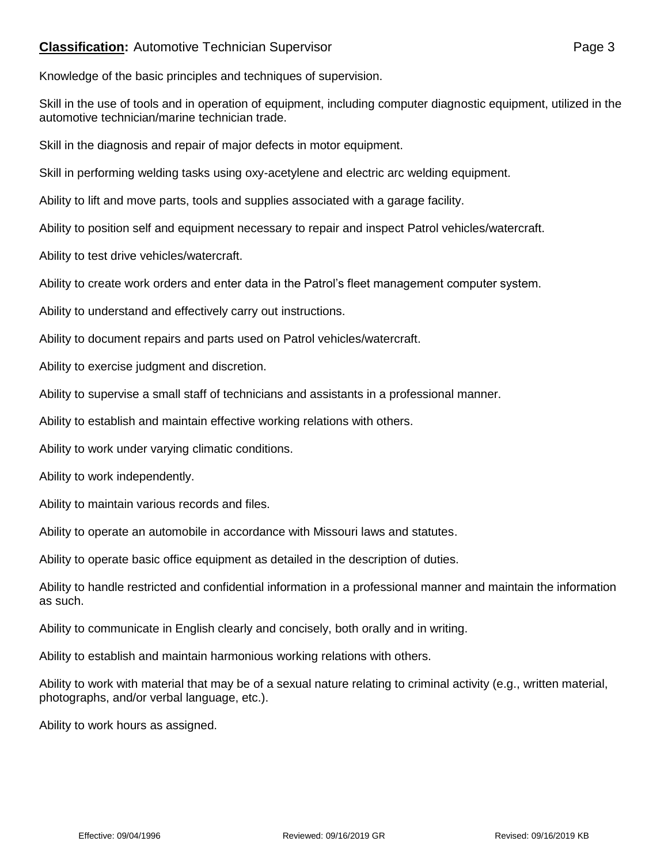## **Classification:** Automotive Technician Supervisor **Page 3** Page 3

Knowledge of the basic principles and techniques of supervision.

Skill in the use of tools and in operation of equipment, including computer diagnostic equipment, utilized in the automotive technician/marine technician trade.

Skill in the diagnosis and repair of major defects in motor equipment.

Skill in performing welding tasks using oxy-acetylene and electric arc welding equipment.

Ability to lift and move parts, tools and supplies associated with a garage facility.

Ability to position self and equipment necessary to repair and inspect Patrol vehicles/watercraft.

Ability to test drive vehicles/watercraft.

Ability to create work orders and enter data in the Patrol's fleet management computer system.

Ability to understand and effectively carry out instructions.

Ability to document repairs and parts used on Patrol vehicles/watercraft.

Ability to exercise judgment and discretion.

Ability to supervise a small staff of technicians and assistants in a professional manner.

Ability to establish and maintain effective working relations with others.

Ability to work under varying climatic conditions.

Ability to work independently.

Ability to maintain various records and files.

Ability to operate an automobile in accordance with Missouri laws and statutes.

Ability to operate basic office equipment as detailed in the description of duties.

Ability to handle restricted and confidential information in a professional manner and maintain the information as such.

Ability to communicate in English clearly and concisely, both orally and in writing.

Ability to establish and maintain harmonious working relations with others.

Ability to work with material that may be of a sexual nature relating to criminal activity (e.g., written material, photographs, and/or verbal language, etc.).

Ability to work hours as assigned.